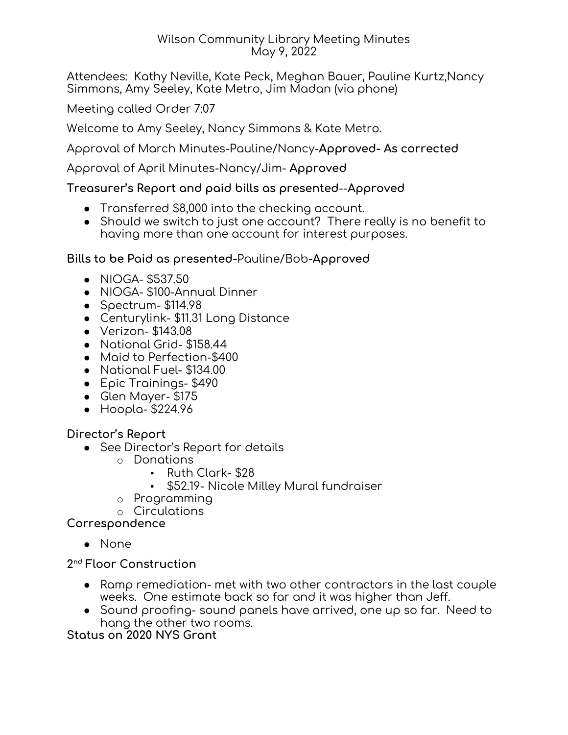#### Wilson Community Library Meeting Minutes May 9, 2022

Attendees: Kathy Neville, Kate Peck, Meghan Bauer, Pauline Kurtz,Nancy Simmons, Amy Seeley, Kate Metro, Jim Madan (via phone)

Meeting called Order 7:07

Welcome to Amy Seeley, Nancy Simmons & Kate Metro.

Approval of March Minutes-Pauline/Nancy-**Approved- As corrected**

Approval of April Minutes-Nancy/Jim- **Approved**

## **Treasurer's Report and paid bills as presented**--**Approved**

- Transferred \$8,000 into the checking account.
- Should we switch to just one account? There really is no benefit to having more than one account for interest purposes.

## **Bills to be Paid as presented-**Pauline/Bob-**Approved**

- NIOGA- \$537.50
- NIOGA- \$100-Annual Dinner
- Spectrum- \$114.98
- Centurylink- \$11.31 Long Distance
- Verizon- \$143.08
- National Grid- \$158.44
- Maid to Perfection-\$400
- National Fuel- \$134.00
- Epic Trainings- \$490
- Glen Mayer- \$175
- Hoopla- \$224.96

## **Director's Report**

- See Director's Report for details
	- o Donations
		- Ruth Clark- \$28
		- \$52.19- Nicole Milley Mural fundraiser
	- o Programming
	- o Circulations

**Correspondence**

● None

**2 nd Floor Construction**

- Ramp remediation- met with two other contractors in the last couple weeks. One estimate back so far and it was higher than Jeff.
- Sound proofing- sound panels have arrived, one up so far. Need to hang the other two rooms.

**Status on 2020 NYS Grant**